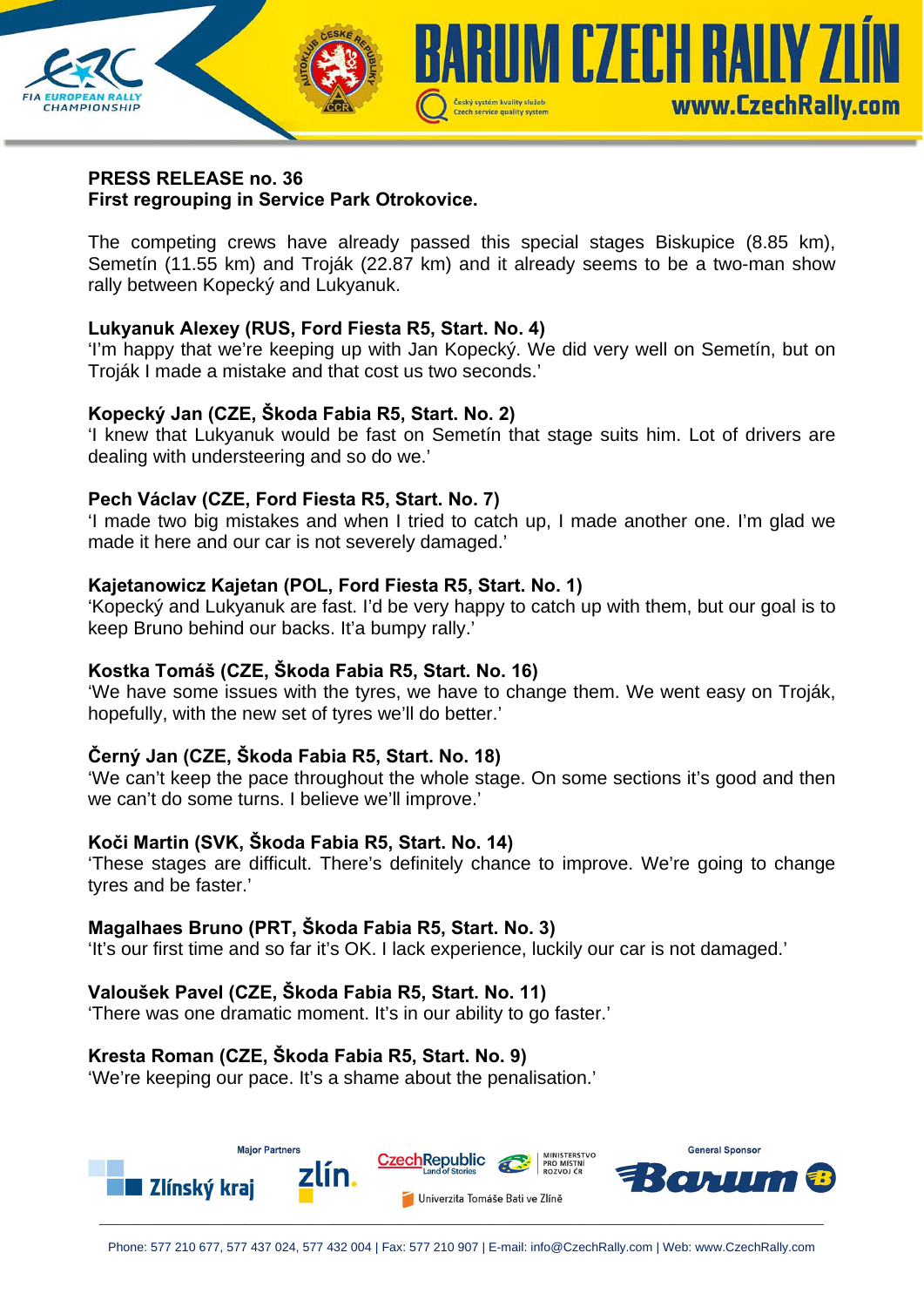

#### **PRESS RELEASE no. 36 First regrouping in Service Park Otrokovice.**

The competing crews have already passed this special stages Biskupice (8.85 km), Semetín (11.55 km) and Troják (22.87 km) and it already seems to be a two-man show rally between Kopecký and Lukyanuk.

## **Lukyanuk Alexey (RUS, Ford Fiesta R5, Start. No. 4)**

'I'm happy that we're keeping up with Jan Kopecký. We did very well on Semetín, but on Troják I made a mistake and that cost us two seconds.'

## **Kopecký Jan (CZE, Škoda Fabia R5, Start. No. 2)**

'I knew that Lukyanuk would be fast on Semetín that stage suits him. Lot of drivers are dealing with understeering and so do we.'

## **Pech Václav (CZE, Ford Fiesta R5, Start. No. 7)**

'I made two big mistakes and when I tried to catch up, I made another one. I'm glad we made it here and our car is not severely damaged.'

## **Kajetanowicz Kajetan (POL, Ford Fiesta R5, Start. No. 1)**

'Kopecký and Lukyanuk are fast. I'd be very happy to catch up with them, but our goal is to keep Bruno behind our backs. It'a bumpy rally.'

### **Kostka Tomáš (CZE, Škoda Fabia R5, Start. No. 16)**

'We have some issues with the tyres, we have to change them. We went easy on Troják, hopefully, with the new set of tyres we'll do better.'

# **Černý Jan (CZE, Škoda Fabia R5, Start. No. 18)**

'We can't keep the pace throughout the whole stage. On some sections it's good and then we can't do some turns. I believe we'll improve.'

### **Koči Martin (SVK, Škoda Fabia R5, Start. No. 14)**

'These stages are difficult. There's definitely chance to improve. We're going to change tyres and be faster.'

### **Magalhaes Bruno (PRT, Škoda Fabia R5, Start. No. 3)**

'It's our first time and so far it's OK. I lack experience, luckily our car is not damaged.'

# **Valoušek Pavel (CZE, Škoda Fabia R5, Start. No. 11)**

'There was one dramatic moment. It's in our ability to go faster.'

# **Kresta Roman (CZE, Škoda Fabia R5, Start. No. 9)**

'We're keeping our pace. It's a shame about the penalisation.'